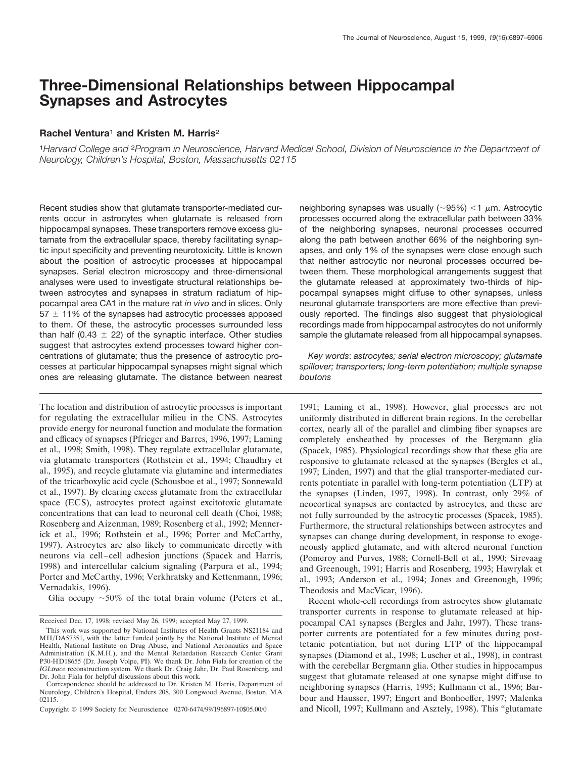# **Three-Dimensional Relationships between Hippocampal Synapses and Astrocytes**

## **Rachel Ventura**<sup>1</sup> **and Kristen M. Harris**<sup>2</sup>

<sup>1</sup>*Harvard College and* <sup>2</sup>*Program in Neuroscience, Harvard Medical School, Division of Neuroscience in the Department of Neurology, Children's Hospital, Boston, Massachusetts 02115*

Recent studies show that glutamate transporter-mediated currents occur in astrocytes when glutamate is released from hippocampal synapses. These transporters remove excess glutamate from the extracellular space, thereby facilitating synaptic input specificity and preventing neurotoxicity. Little is known about the position of astrocytic processes at hippocampal synapses. Serial electron microscopy and three-dimensional analyses were used to investigate structural relationships between astrocytes and synapses in stratum radiatum of hippocampal area CA1 in the mature rat *in vivo* and in slices. Only  $57 \pm 11\%$  of the synapses had astrocytic processes apposed to them. Of these, the astrocytic processes surrounded less than half (0.43  $\pm$  22) of the synaptic interface. Other studies suggest that astrocytes extend processes toward higher concentrations of glutamate; thus the presence of astrocytic processes at particular hippocampal synapses might signal which ones are releasing glutamate. The distance between nearest

The location and distribution of astrocytic processes is important for regulating the extracellular milieu in the CNS. Astrocytes provide energy for neuronal function and modulate the formation and efficacy of synapses (Pfrieger and Barres, 1996, 1997; Laming et al., 1998; Smith, 1998). They regulate extracellular glutamate, via glutamate transporters (Rothstein et al., 1994; Chaudhry et al., 1995), and recycle glutamate via glutamine and intermediates of the tricarboxylic acid cycle (Schousboe et al., 1997; Sonnewald et al., 1997). By clearing excess glutamate from the extracellular space (ECS), astrocytes protect against excitotoxic glutamate concentrations that can lead to neuronal cell death (Choi, 1988; Rosenberg and Aizenman, 1989; Rosenberg et al., 1992; Mennerick et al., 1996; Rothstein et al., 1996; Porter and McCarthy, 1997). Astrocytes are also likely to communicate directly with neurons via cell–cell adhesion junctions (Spacek and Harris, 1998) and intercellular calcium signaling (Parpura et al., 1994; Porter and McCarthy, 1996; Verkhratsky and Kettenmann, 1996; Vernadakis, 1996).

Glia occupy  $\sim 50\%$  of the total brain volume (Peters et al.,

neighboring synapses was usually ( $\sim$ 95%) <1  $\mu$ m. Astrocytic processes occurred along the extracellular path between 33% of the neighboring synapses, neuronal processes occurred along the path between another 66% of the neighboring synapses, and only 1% of the synapses were close enough such that neither astrocytic nor neuronal processes occurred between them. These morphological arrangements suggest that the glutamate released at approximately two-thirds of hippocampal synapses might diffuse to other synapses, unless neuronal glutamate transporters are more effective than previously reported. The findings also suggest that physiological recordings made from hippocampal astrocytes do not uniformly sample the glutamate released from all hippocampal synapses.

*Key words*: *astrocytes; serial electron microscopy; glutamate spillover; transporters; long-term potentiation; multiple synapse boutons*

1991; Laming et al., 1998). However, glial processes are not uniformly distributed in different brain regions. In the cerebellar cortex, nearly all of the parallel and climbing fiber synapses are completely ensheathed by processes of the Bergmann glia (Spacek, 1985). Physiological recordings show that these glia are responsive to glutamate released at the synapses (Bergles et al., 1997; Linden, 1997) and that the glial transporter-mediated currents potentiate in parallel with long-term potentiation (LTP) at the synapses (Linden, 1997, 1998). In contrast, only 29% of neocortical synapses are contacted by astrocytes, and these are not fully surrounded by the astrocytic processes (Spacek, 1985). Furthermore, the structural relationships between astrocytes and synapses can change during development, in response to exogeneously applied glutamate, and with altered neuronal function (Pomeroy and Purves, 1988; Cornell-Bell et al., 1990; Sirevaag and Greenough, 1991; Harris and Rosenberg, 1993; Hawrylak et al., 1993; Anderson et al., 1994; Jones and Greenough, 1996; Theodosis and MacVicar, 1996).

Recent whole-cell recordings from astrocytes show glutamate transporter currents in response to glutamate released at hippocampal CA1 synapses (Bergles and Jahr, 1997). These transporter currents are potentiated for a few minutes during posttetanic potentiation, but not during LTP of the hippocampal synapses (Diamond et al., 1998; Luscher et al., 1998), in contrast with the cerebellar Bergmann glia. Other studies in hippocampus suggest that glutamate released at one synapse might diffuse to neighboring synapses (Harris, 1995; Kullmann et al., 1996; Barbour and Hausser, 1997; Engert and Bonhoeffer, 1997; Malenka and Nicoll, 1997; Kullmann and Asztely, 1998). This "glutamate

Received Dec. 17, 1998; revised May 26, 1999; accepted May 27, 1999.

This work was supported by National Institutes of Health Grants NS21184 and MH/DA57351, with the latter funded jointly by the National Institute of Mental Health, National Institute on Drug Abuse, and National Aeronautics and Space Administration (K.M.H.), and the Mental Retardation Research Center Grant P30-HD18655 (Dr. Joseph Volpe, PI). We thank Dr. John Fiala for creation of the *IGLtrace* reconstruction system. We thank Dr. Craig Jahr, Dr. Paul Rosenberg, and Dr. John Fiala for helpful discussions about this work.

Correspondence should be addressed to Dr. Kristen M. Harris, Department of Neurology, Children's Hospital, Enders 208, 300 Longwood Avenue, Boston, MA 02115.

Copyright © 1999 Society for Neuroscience 0270-6474/99/196897-10\$05.00/0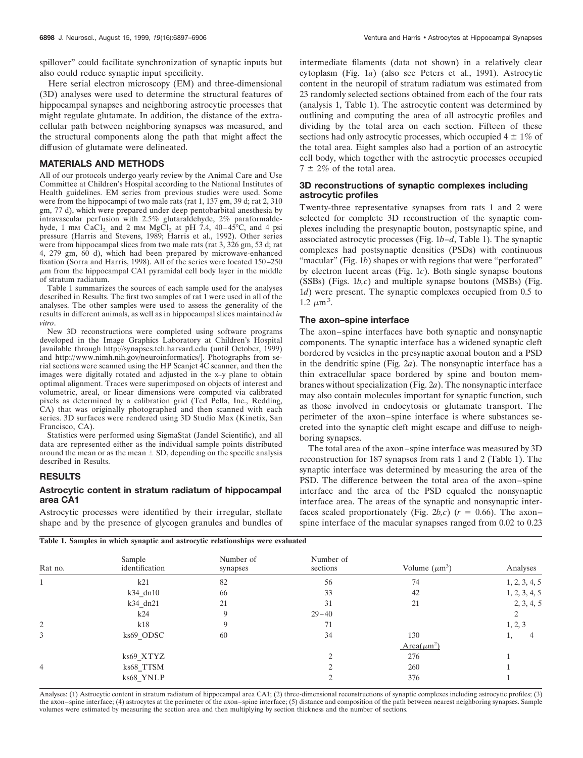Here serial electron microscopy (EM) and three-dimensional (3D) analyses were used to determine the structural features of hippocampal synapses and neighboring astrocytic processes that might regulate glutamate. In addition, the distance of the extracellular path between neighboring synapses was measured, and the structural components along the path that might affect the diffusion of glutamate were delineated.

#### **MATERIALS AND METHODS**

All of our protocols undergo yearly review by the Animal Care and Use Committee at Children's Hospital according to the National Institutes of Health guidelines. EM series from previous studies were used. Some were from the hippocampi of two male rats (rat 1, 137 gm, 39 d; rat 2, 310) gm, 77 d), which were prepared under deep pentobarbital anesthesia by intravascular perfusion with 2.5% glutaraldehyde, 2% paraformaldehyde, 1 mm CaCl<sub>2</sub> and 2 mm MgCl<sub>2</sub> at pH 7.4, 40–45 $^{\circ}$ C, and 4 psi pressure (Harris and Stevens, 1989; Harris et al., 1992). Other series were from hippocampal slices from two male rats (rat 3, 326 gm, 53 d; rat 4, 279 gm, 60 d), which had been prepared by microwave-enhanced fixation (Sorra and Harris, 1998). All of the series were located 150–250  $\mu$ m from the hippocampal CA1 pyramidal cell body layer in the middle of stratum radiatum.

Table 1 summarizes the sources of each sample used for the analyses described in Results. The first two samples of rat 1 were used in all of the analyses. The other samples were used to assess the generality of the results in different animals, as well as in hippocampal slices maintained *in vitro*.

New 3D reconstructions were completed using software programs developed in the Image Graphics Laboratory at Children's Hospital [available through http://synapses.tch.harvard.edu (until October, 1999) and http://www.nimh.nih.gov/neuroinformatics/]. Photographs from serial sections were scanned using the HP Scanjet 4C scanner, and then the images were digitally rotated and adjusted in the x–y plane to obtain optimal alignment. Traces were superimposed on objects of interest and volumetric, areal, or linear dimensions were computed via calibrated pixels as determined by a calibration grid (Ted Pella, Inc., Redding, CA) that was originally photographed and then scanned with each series. 3D surfaces were rendered using 3D Studio Max (Kinetix, San Francisco, CA).

Statistics were performed using SigmaStat (Jandel Scientific), and all data are represented either as the individual sample points distributed around the mean or as the mean  $\pm$  SD, depending on the specific analysis described in Results.

# **RESULTS**

## **Astrocytic content in stratum radiatum of hippocampal area CA1**

Astrocytic processes were identified by their irregular, stellate shape and by the presence of glycogen granules and bundles of

intermediate filaments (data not shown) in a relatively clear cytoplasm (Fig. 1*a*) (also see Peters et al., 1991). Astrocytic content in the neuropil of stratum radiatum was estimated from 23 randomly selected sections obtained from each of the four rats (analysis 1, Table 1). The astrocytic content was determined by outlining and computing the area of all astrocytic profiles and dividing by the total area on each section. Fifteen of these sections had only astrocytic processes, which occupied  $4 \pm 1\%$  of the total area. Eight samples also had a portion of an astrocytic cell body, which together with the astrocytic processes occupied  $7 \pm 2\%$  of the total area.

## **3D reconstructions of synaptic complexes including astrocytic profiles**

Twenty-three representative synapses from rats 1 and 2 were selected for complete 3D reconstruction of the synaptic complexes including the presynaptic bouton, postsynaptic spine, and associated astrocytic processes (Fig. 1*b–d*, Table 1). The synaptic complexes had postsynaptic densities (PSDs) with continuous "macular" (Fig. 1b) shapes or with regions that were "perforated" by electron lucent areas (Fig. 1*c*). Both single synapse boutons (SSBs) (Figs. 1*b,c*) and multiple synapse boutons (MSBs) (Fig. 1*d*) were present. The synaptic complexes occupied from 0.5 to  $1.2 \ \mu m^3$ .

#### **The axon–spine interface**

The axon–spine interfaces have both synaptic and nonsynaptic components. The synaptic interface has a widened synaptic cleft bordered by vesicles in the presynaptic axonal bouton and a PSD in the dendritic spine (Fig. 2*a*). The nonsynaptic interface has a thin extracellular space bordered by spine and bouton membranes without specialization (Fig. 2*a*). The nonsynaptic interface may also contain molecules important for synaptic function, such as those involved in endocytosis or glutamate transport. The perimeter of the axon–spine interface is where substances secreted into the synaptic cleft might escape and diffuse to neighboring synapses.

The total area of the axon–spine interface was measured by 3D reconstruction for 187 synapses from rats 1 and 2 (Table 1). The synaptic interface was determined by measuring the area of the PSD. The difference between the total area of the axon–spine interface and the area of the PSD equaled the nonsynaptic interface area. The areas of the synaptic and nonsynaptic interfaces scaled proportionately (Fig. 2*b*,*c*) ( $r = 0.66$ ). The axon– spine interface of the macular synapses ranged from 0.02 to 0.23



| Rat no.        | Sample<br>identification | Number of<br>synapses | Number of<br>sections | Volume $(\mu m^3)$           | Analyses      |
|----------------|--------------------------|-----------------------|-----------------------|------------------------------|---------------|
|                | k21                      | 82                    | 56                    | 74                           | 1, 2, 3, 4, 5 |
|                | $k34$ dn10               | 66                    | 33                    | 42                           | 1, 2, 3, 4, 5 |
|                | k34_dn21                 | 21                    | 31                    | 21                           | 2, 3, 4, 5    |
|                | k24                      | 9                     | $29 - 40$             |                              |               |
| 2              | k18                      | 9                     | 71                    |                              | 1, 2, 3       |
| 3              | ks69_ODSC                | 60                    | 34                    | 130                          | ı,            |
|                |                          |                       |                       | Area( $\mu$ m <sup>2</sup> ) |               |
|                | ks69_XTYZ                |                       | ◠                     | 276                          |               |
| $\overline{4}$ | ks68_TTSM                |                       |                       | 260                          |               |
|                | ks68_YNLP                |                       |                       | 376                          |               |

Analyses: (1) Astrocytic content in stratum radiatum of hippocampal area CA1; (2) three-dimensional reconstructions of synaptic complexes including astrocytic profiles; (3) the axon–spine interface; (4) astrocytes at the perimeter of the axon–spine interface; (5) distance and composition of the path between nearest neighboring synapses. Sample volumes were estimated by measuring the section area and then multiplying by section thickness and the number of sections.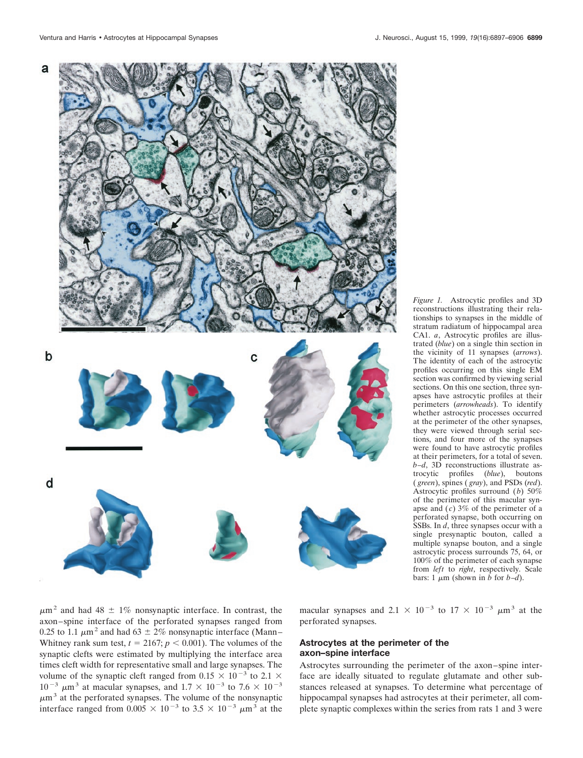

*Figure 1.* Astrocytic profiles and 3D reconstructions illustrating their relationships to synapses in the middle of stratum radiatum of hippocampal area CA1. *a*, Astrocytic profiles are illustrated (*blue*) on a single thin section in the vicinity of 11 synapses (*arrows*). The identity of each of the astrocytic profiles occurring on this single EM section was confirmed by viewing serial sections. On this one section, three synapses have astrocytic profiles at their perimeters (*arrowheads*). To identify whether astrocytic processes occurred at the perimeter of the other synapses, they were viewed through serial sections, and four more of the synapses were found to have astrocytic profiles at their perimeters, for a total of seven. *b–d*, 3D reconstructions illustrate astrocytic profiles (*blue*), boutons ( *green*), spines ( *gray*), and PSDs (*red*). Astrocytic profiles surround (*b*) 50% of the perimeter of this macular synapse and  $(c)$  3% of the perimeter of a perforated synapse, both occurring on SSBs. In *d*, three synapses occur with a single presynaptic bouton, called a multiple synapse bouton, and a single astrocytic process surrounds 75, 64, or 100% of the perimeter of each synapse from *left* to *right*, respectively. Scale bars: 1  $\mu$ m (shown in *b* for *b–d*).

 $\mu$ m<sup>2</sup> and had 48  $\pm$  1% nonsynaptic interface. In contrast, the axon–spine interface of the perforated synapses ranged from 0.25 to 1.1  $\mu$ m<sup>2</sup> and had 63  $\pm$  2% nonsynaptic interface (Mann– Whitney rank sum test,  $t = 2167$ ;  $p < 0.001$ ). The volumes of the synaptic clefts were estimated by multiplying the interface area times cleft width for representative small and large synapses. The volume of the synaptic cleft ranged from 0.15  $\times$  10<sup>-3</sup> to 2.1  $\times$  $10^{-3}$   $\mu$ m<sup>3</sup> at macular synapses, and  $1.7 \times 10^{-3}$  to  $7.6 \times 10^{-3}$  $\mu$ m<sup>3</sup> at the perforated synapses. The volume of the nonsynaptic interface ranged from  $0.005 \times 10^{-3}$  to  $3.5 \times 10^{-3}$   $\mu$ m<sup>3</sup> at the

macular synapses and 2.1  $\times$  10<sup>-3</sup> to 17  $\times$  10<sup>-3</sup>  $\mu$ m<sup>3</sup> at the perforated synapses.

# **Astrocytes at the perimeter of the axon–spine interface**

Astrocytes surrounding the perimeter of the axon–spine interface are ideally situated to regulate glutamate and other substances released at synapses. To determine what percentage of hippocampal synapses had astrocytes at their perimeter, all complete synaptic complexes within the series from rats 1 and 3 were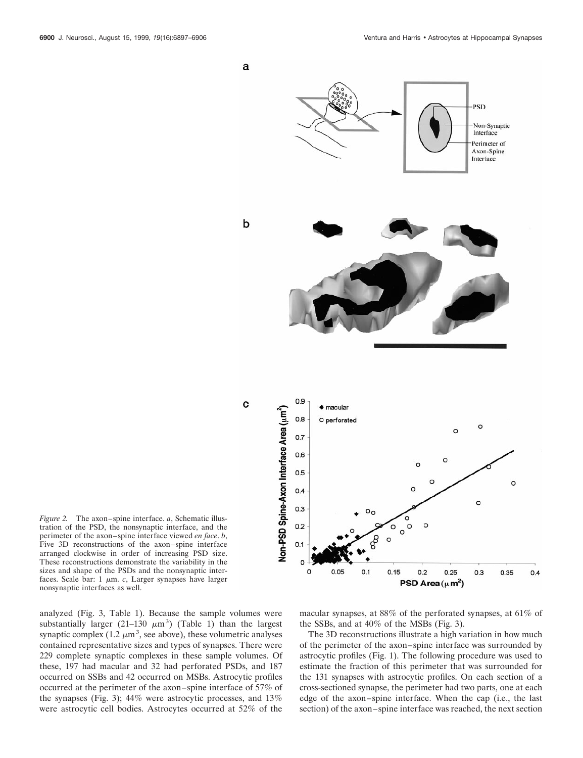

*Figure 2.* The axon–spine interface. *a*, Schematic illustration of the PSD, the nonsynaptic interface, and the perimeter of the axon–spine interface viewed *en face*. *b*, Five 3D reconstructions of the axon–spine interface arranged clockwise in order of increasing PSD size. These reconstructions demonstrate the variability in the sizes and shape of the PSDs and the nonsynaptic interfaces. Scale bar:  $1 \mu m$ . *c*, Larger synapses have larger nonsynaptic interfaces as well.

analyzed (Fig. 3, Table 1). Because the sample volumes were substantially larger (21-130  $\mu$ m<sup>3</sup>) (Table 1) than the largest synaptic complex  $(1.2 \mu m^3)$ , see above), these volumetric analyses contained representative sizes and types of synapses. There were 229 complete synaptic complexes in these sample volumes. Of these, 197 had macular and 32 had perforated PSDs, and 187 occurred on SSBs and 42 occurred on MSBs. Astrocytic profiles occurred at the perimeter of the axon–spine interface of 57% of the synapses (Fig. 3); 44% were astrocytic processes, and 13% were astrocytic cell bodies. Astrocytes occurred at 52% of the

macular synapses, at 88% of the perforated synapses, at 61% of the SSBs, and at 40% of the MSBs (Fig. 3).

The 3D reconstructions illustrate a high variation in how much of the perimeter of the axon–spine interface was surrounded by astrocytic profiles (Fig. 1). The following procedure was used to estimate the fraction of this perimeter that was surrounded for the 131 synapses with astrocytic profiles. On each section of a cross-sectioned synapse, the perimeter had two parts, one at each edge of the axon–spine interface. When the cap (i.e., the last section) of the axon–spine interface was reached, the next section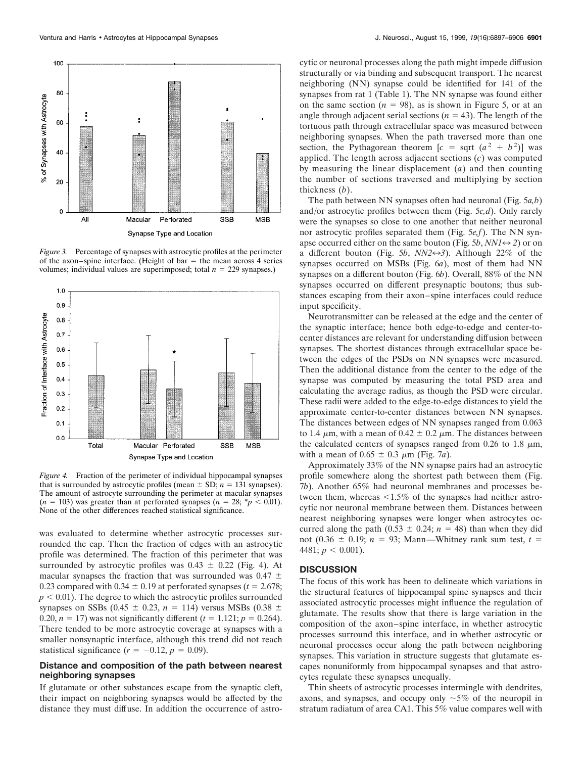

*Figure 3.* Percentage of synapses with astrocytic profiles at the perimeter of the axon–spine interface. (Height of bar  $=$  the mean across 4 series volumes; individual values are superimposed; total  $n = 229$  synapses.)



*Figure 4.* Fraction of the perimeter of individual hippocampal synapses that is surrounded by astrocytic profiles (mean  $\pm$  SD; *n* = 131 synapses). The amount of astrocyte surrounding the perimeter at macular synapses  $(n = 103)$  was greater than at perforated synapses  $(n = 28; *p < 0.01)$ . None of the other differences reached statistical significance.

was evaluated to determine whether astrocytic processes surrounded the cap. Then the fraction of edges with an astrocytic profile was determined. The fraction of this perimeter that was surrounded by astrocytic profiles was  $0.43 \pm 0.22$  (Fig. 4). At macular synapses the fraction that was surrounded was 0.47  $\pm$ 0.23 compared with  $0.34 \pm 0.19$  at perforated synapses ( $t = 2.678$ ;  $p < 0.01$ ). The degree to which the astrocytic profiles surrounded synapses on SSBs (0.45  $\pm$  0.23, *n* = 114) versus MSBs (0.38  $\pm$ 0.20,  $n = 17$ ) was not significantly different ( $t = 1.121$ ;  $p = 0.264$ ). There tended to be more astrocytic coverage at synapses with a smaller nonsynaptic interface, although this trend did not reach statistical significance  $(r = -0.12, p = 0.09)$ .

# **Distance and composition of the path between nearest neighboring synapses**

If glutamate or other substances escape from the synaptic cleft, their impact on neighboring synapses would be affected by the distance they must diffuse. In addition the occurrence of astro-

cytic or neuronal processes along the path might impede diffusion structurally or via binding and subsequent transport. The nearest neighboring (NN) synapse could be identified for 141 of the synapses from rat 1 (Table 1). The NN synapse was found either on the same section  $(n = 98)$ , as is shown in Figure 5, or at an angle through adjacent serial sections ( $n = 43$ ). The length of the tortuous path through extracellular space was measured between neighboring synapses. When the path traversed more than one section, the Pythagorean theorem  $[c = sqrt (a^2 + b^2)]$  was applied. The length across adjacent sections (*c*) was computed by measuring the linear displacement (*a*) and then counting the number of sections traversed and multiplying by section thickness (*b*).

The path between NN synapses often had neuronal (Fig. 5*a,b*) and/or astrocytic profiles between them (Fig. 5*c,d*). Only rarely were the synapses so close to one another that neither neuronal nor astrocytic profiles separated them (Fig. 5*e,f*). The NN synapse occurred either on the same bouton (Fig. 5*b*,  $NNI \leftrightarrow 2$ ) or on a different bouton (Fig. 5*b*,  $NN2 \leftrightarrow 3$ ). Although 22% of the synapses occurred on MSBs (Fig. 6*a*), most of them had NN synapses on a different bouton (Fig. 6*b*). Overall, 88% of the NN synapses occurred on different presynaptic boutons; thus substances escaping from their axon–spine interfaces could reduce input specificity.

Neurotransmitter can be released at the edge and the center of the synaptic interface; hence both edge-to-edge and center-tocenter distances are relevant for understanding diffusion between synapses. The shortest distances through extracellular space between the edges of the PSDs on NN synapses were measured. Then the additional distance from the center to the edge of the synapse was computed by measuring the total PSD area and calculating the average radius, as though the PSD were circular. These radii were added to the edge-to-edge distances to yield the approximate center-to-center distances between NN synapses. The distances between edges of NN synapses ranged from 0.063 to 1.4  $\mu$ m, with a mean of 0.42  $\pm$  0.2  $\mu$ m. The distances between the calculated centers of synapses ranged from 0.26 to 1.8  $\mu$ m, with a mean of  $0.65 \pm 0.3 \mu$ m (Fig. 7*a*).

Approximately 33% of the NN synapse pairs had an astrocytic profile somewhere along the shortest path between them (Fig. 7*b*). Another 65% had neuronal membranes and processes between them, whereas  $< 1.5\%$  of the synapses had neither astrocytic nor neuronal membrane between them. Distances between nearest neighboring synapses were longer when astrocytes occurred along the path (0.53  $\pm$  0.24; *n* = 48) than when they did not (0.36  $\pm$  0.19; *n* = 93; Mann—Whitney rank sum test, *t* = 4481;  $p < 0.001$ ).

# **DISCUSSION**

The focus of this work has been to delineate which variations in the structural features of hippocampal spine synapses and their associated astrocytic processes might influence the regulation of glutamate. The results show that there is large variation in the composition of the axon–spine interface, in whether astrocytic processes surround this interface, and in whether astrocytic or neuronal processes occur along the path between neighboring synapses. This variation in structure suggests that glutamate escapes nonuniformly from hippocampal synapses and that astrocytes regulate these synapses unequally.

Thin sheets of astrocytic processes intermingle with dendrites, axons, and synapses, and occupy only  $\sim$  5% of the neuropil in stratum radiatum of area CA1. This 5% value compares well with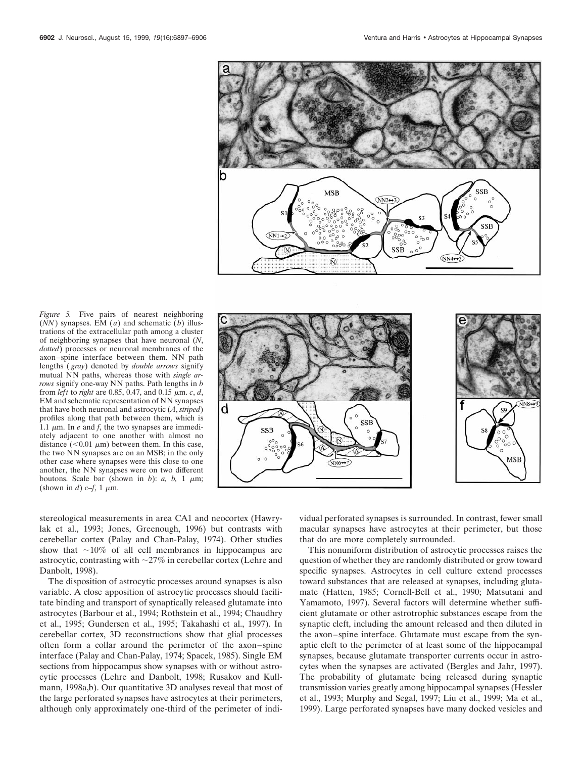

*Figure 5.* Five pairs of nearest neighboring  $(NN)$  synapses. EM (*a*) and schematic (*b*) illustrations of the extracellular path among a cluster of neighboring synapses that have neuronal (*N*, *dotted*) processes or neuronal membranes of the axon–spine interface between them. NN path lengths ( *gray*) denoted by *double arrows* signify mutual NN paths, whereas those with *single arrows* signify one-way NN paths. Path lengths in *b* from *left* to *right* are 0.85, 0.47, and 0.15  $\mu$ m. *c*, *d*, EM and schematic representation of NN synapses that have both neuronal and astrocytic (*A*, *striped*) profiles along that path between them, which is 1.1  $\mu$ m. In *e* and *f*, the two synapses are immediately adjacent to one another with almost no distance ( $< 0.01 \mu m$ ) between them. In this case, the two NN synapses are on an MSB; in the only other case where synapses were this close to one another, the NN synapses were on two different boutons. Scale bar (shown in  $b$ ):  $a$ ,  $b$ , 1  $\mu$ m; (shown in *d*)  $c-f$ , 1  $\mu$ m.



stereological measurements in area CA1 and neocortex (Hawrylak et al., 1993; Jones, Greenough, 1996) but contrasts with cerebellar cortex (Palay and Chan-Palay, 1974). Other studies show that  $\sim$ 10% of all cell membranes in hippocampus are astrocytic, contrasting with  $\sim$ 27% in cerebellar cortex (Lehre and Danbolt, 1998).

The disposition of astrocytic processes around synapses is also variable. A close apposition of astrocytic processes should facilitate binding and transport of synaptically released glutamate into astrocytes (Barbour et al., 1994; Rothstein et al., 1994; Chaudhry et al., 1995; Gundersen et al., 1995; Takahashi et al., 1997). In cerebellar cortex, 3D reconstructions show that glial processes often form a collar around the perimeter of the axon–spine interface (Palay and Chan-Palay, 1974; Spacek, 1985). Single EM sections from hippocampus show synapses with or without astrocytic processes (Lehre and Danbolt, 1998; Rusakov and Kullmann, 1998a,b). Our quantitative 3D analyses reveal that most of the large perforated synapses have astrocytes at their perimeters, although only approximately one-third of the perimeter of individual perforated synapses is surrounded. In contrast, fewer small macular synapses have astrocytes at their perimeter, but those that do are more completely surrounded.

This nonuniform distribution of astrocytic processes raises the question of whether they are randomly distributed or grow toward specific synapses. Astrocytes in cell culture extend processes toward substances that are released at synapses, including glutamate (Hatten, 1985; Cornell-Bell et al., 1990; Matsutani and Yamamoto, 1997). Several factors will determine whether sufficient glutamate or other astrotrophic substances escape from the synaptic cleft, including the amount released and then diluted in the axon–spine interface. Glutamate must escape from the synaptic cleft to the perimeter of at least some of the hippocampal synapses, because glutamate transporter currents occur in astrocytes when the synapses are activated (Bergles and Jahr, 1997). The probability of glutamate being released during synaptic transmission varies greatly among hippocampal synapses (Hessler et al., 1993; Murphy and Segal, 1997; Liu et al., 1999; Ma et al., 1999). Large perforated synapses have many docked vesicles and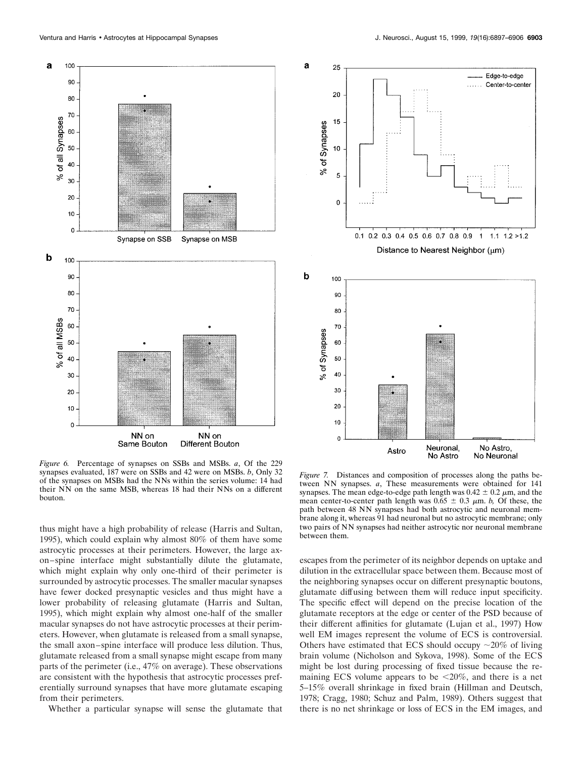

*Figure 6.* Percentage of synapses on SSBs and MSBs. *a*, Of the 229 synapses evaluated, 187 were on SSBs and 42 were on MSBs. *b*, Only 32 of the synapses on MSBs had the NNs within the series volume: 14 had their NN on the same MSB, whereas 18 had their NNs on a different bouton.

thus might have a high probability of release (Harris and Sultan, 1995), which could explain why almost 80% of them have some astrocytic processes at their perimeters. However, the large axon–spine interface might substantially dilute the glutamate, which might explain why only one-third of their perimeter is surrounded by astrocytic processes. The smaller macular synapses have fewer docked presynaptic vesicles and thus might have a lower probability of releasing glutamate (Harris and Sultan, 1995), which might explain why almost one-half of the smaller macular synapses do not have astrocytic processes at their perimeters. However, when glutamate is released from a small synapse, the small axon–spine interface will produce less dilution. Thus, glutamate released from a small synapse might escape from many parts of the perimeter (i.e., 47% on average). These observations are consistent with the hypothesis that astrocytic processes preferentially surround synapses that have more glutamate escaping from their perimeters.

Whether a particular synapse will sense the glutamate that



*Figure 7.* Distances and composition of processes along the paths between NN synapses. *a*, These measurements were obtained for 141 synapses. The mean edge-to-edge path length was  $0.42 \pm 0.2 \mu$ m, and the mean center-to-center path length was  $0.65 \pm 0.3$   $\mu$ m. *b*, Of these, the path between 48 NN synapses had both astrocytic and neuronal membrane along it, whereas 91 had neuronal but no astrocytic membrane; only two pairs of NN synapses had neither astrocytic nor neuronal membrane between them.

escapes from the perimeter of its neighbor depends on uptake and dilution in the extracellular space between them. Because most of the neighboring synapses occur on different presynaptic boutons, glutamate diffusing between them will reduce input specificity. The specific effect will depend on the precise location of the glutamate receptors at the edge or center of the PSD because of their different affinities for glutamate (Lujan et al., 1997) How well EM images represent the volume of ECS is controversial. Others have estimated that ECS should occupy  $\sim$ 20% of living brain volume (Nicholson and Sykova, 1998). Some of the ECS might be lost during processing of fixed tissue because the remaining ECS volume appears to be  $\leq 20\%$ , and there is a net 5–15% overall shrinkage in fixed brain (Hillman and Deutsch, 1978; Cragg, 1980; Schuz and Palm, 1989). Others suggest that there is no net shrinkage or loss of ECS in the EM images, and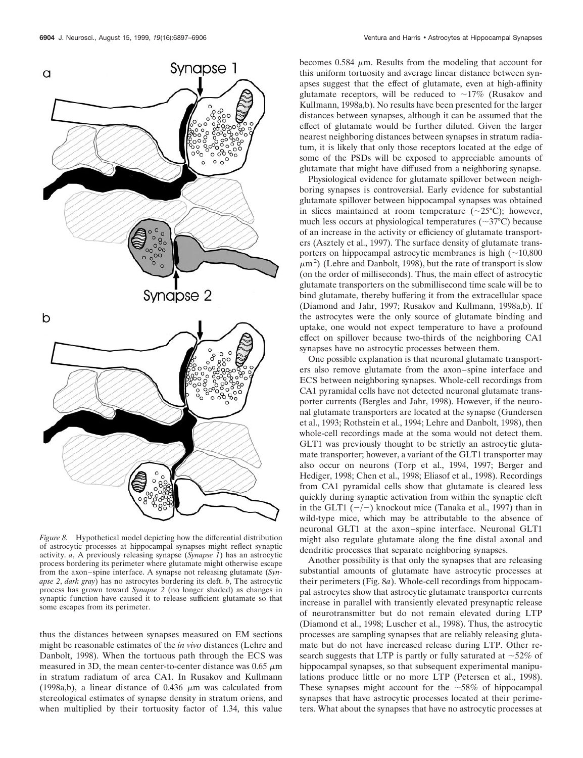

*Figure 8.* Hypothetical model depicting how the differential distribution of astrocytic processes at hippocampal synapses might reflect synaptic activity. *a*, A previously releasing synapse (*Synapse 1*) has an astrocytic process bordering its perimeter where glutamate might otherwise escape from the axon–spine interface. A synapse not releasing glutamate (*Synapse 2*, *dark gray*) has no astrocytes bordering its cleft. *b*, The astrocytic process has grown toward *Synapse 2* (no longer shaded) as changes in synaptic function have caused it to release sufficient glutamate so that some escapes from its perimeter.

thus the distances between synapses measured on EM sections might be reasonable estimates of the *in vivo* distances (Lehre and Danbolt, 1998). When the tortuous path through the ECS was measured in 3D, the mean center-to-center distance was  $0.65 \mu m$ in stratum radiatum of area CA1. In Rusakov and Kullmann (1998a,b), a linear distance of 0.436  $\mu$ m was calculated from stereological estimates of synapse density in stratum oriens, and when multiplied by their tortuosity factor of 1.34, this value

becomes 0.584  $\mu$ m. Results from the modeling that account for this uniform tortuosity and average linear distance between synapses suggest that the effect of glutamate, even at high-affinity glutamate receptors, will be reduced to  $\sim$ 17% (Rusakov and Kullmann, 1998a,b). No results have been presented for the larger distances between synapses, although it can be assumed that the effect of glutamate would be further diluted. Given the larger nearest neighboring distances between synapses in stratum radiatum, it is likely that only those receptors located at the edge of some of the PSDs will be exposed to appreciable amounts of glutamate that might have diffused from a neighboring synapse.

Physiological evidence for glutamate spillover between neighboring synapses is controversial. Early evidence for substantial glutamate spillover between hippocampal synapses was obtained in slices maintained at room temperature  $(\sim 25^{\circ}C)$ ; however, much less occurs at physiological temperatures ( $\sim$ 37°C) because of an increase in the activity or efficiency of glutamate transporters (Asztely et al., 1997). The surface density of glutamate transporters on hippocampal astrocytic membranes is high  $(\sim10,800)$  $\mu$ m<sup>2</sup>) (Lehre and Danbolt, 1998), but the rate of transport is slow (on the order of milliseconds). Thus, the main effect of astrocytic glutamate transporters on the submillisecond time scale will be to bind glutamate, thereby buffering it from the extracellular space (Diamond and Jahr, 1997; Rusakov and Kullmann, 1998a,b). If the astrocytes were the only source of glutamate binding and uptake, one would not expect temperature to have a profound effect on spillover because two-thirds of the neighboring CA1 synapses have no astrocytic processes between them.

One possible explanation is that neuronal glutamate transporters also remove glutamate from the axon–spine interface and ECS between neighboring synapses. Whole-cell recordings from CA1 pyramidal cells have not detected neuronal glutamate transporter currents (Bergles and Jahr, 1998). However, if the neuronal glutamate transporters are located at the synapse (Gundersen et al., 1993; Rothstein et al., 1994; Lehre and Danbolt, 1998), then whole-cell recordings made at the soma would not detect them. GLT1 was previously thought to be strictly an astrocytic glutamate transporter; however, a variant of the GLT1 transporter may also occur on neurons (Torp et al., 1994, 1997; Berger and Hediger, 1998; Chen et al., 1998; Eliasof et al., 1998). Recordings from CA1 pyramidal cells show that glutamate is cleared less quickly during synaptic activation from within the synaptic cleft in the GLT1  $(-/-)$  knockout mice (Tanaka et al., 1997) than in wild-type mice, which may be attributable to the absence of neuronal GLT1 at the axon–spine interface. Neuronal GLT1 might also regulate glutamate along the fine distal axonal and dendritic processes that separate neighboring synapses.

Another possibility is that only the synapses that are releasing substantial amounts of glutamate have astrocytic processes at their perimeters (Fig. 8*a*). Whole-cell recordings from hippocampal astrocytes show that astrocytic glutamate transporter currents increase in parallel with transiently elevated presynaptic release of neurotransmitter but do not remain elevated during LTP (Diamond et al., 1998; Luscher et al., 1998). Thus, the astrocytic processes are sampling synapses that are reliably releasing glutamate but do not have increased release during LTP. Other research suggests that LTP is partly or fully saturated at  $\sim$ 52% of hippocampal synapses, so that subsequent experimental manipulations produce little or no more LTP (Petersen et al., 1998). These synapses might account for the  $\sim$ 58% of hippocampal synapses that have astrocytic processes located at their perimeters. What about the synapses that have no astrocytic processes at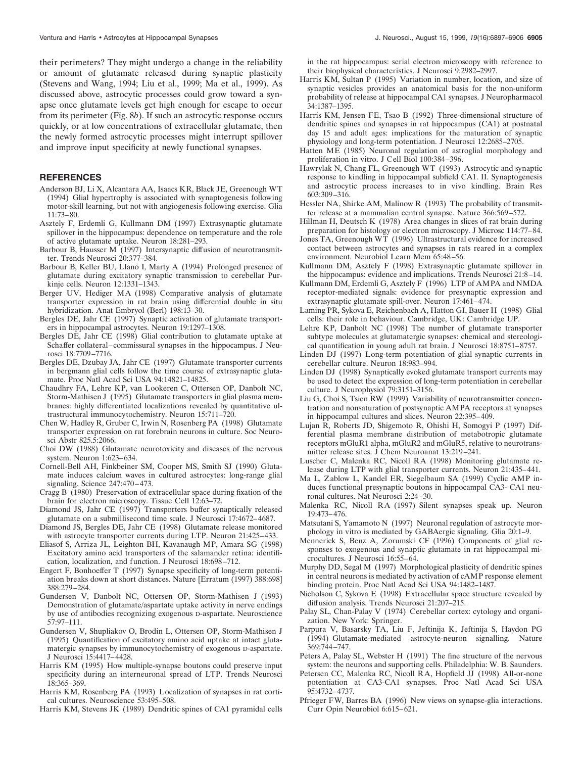their perimeters? They might undergo a change in the reliability or amount of glutamate released during synaptic plasticity (Stevens and Wang, 1994; Liu et al., 1999; Ma et al., 1999). As discussed above, astrocytic processes could grow toward a synapse once glutamate levels get high enough for escape to occur from its perimeter (Fig. 8*b*). If such an astrocytic response occurs quickly, or at low concentrations of extracellular glutamate, then the newly formed astrocytic processes might interrupt spillover and improve input specificity at newly functional synapses.

# **REFERENCES**

- Anderson BJ, Li X, Alcantara AA, Isaacs KR, Black JE, Greenough WT (1994) Glial hypertrophy is associated with synaptogenesis following motor-skill learning, but not with angiogenesis following exercise. Glia 11:73–80.
- Asztely F, Erdemli G, Kullmann DM (1997) Extrasynaptic glutamate spillover in the hippocampus: dependence on temperature and the role of active glutamate uptake. Neuron 18:281–293.
- Barbour B, Hausser M (1997) Intersynaptic diffusion of neurotransmitter. Trends Neurosci 20:377–384.
- Barbour B, Keller BU, Llano I, Marty A (1994) Prolonged presence of glutamate during excitatory synaptic transmission to cerebellar Purkinje cells. Neuron 12:1331–1343.
- Berger UV, Hediger MA (1998) Comparative analysis of glutamate transporter expression in rat brain using differential double in situ hybridization. Anat Embryol (Berl) 198:13–30.
- Bergles DE, Jahr CE (1997) Synaptic activation of glutamate transporters in hippocampal astrocytes. Neuron 19:1297–1308.
- Bergles DE, Jahr CE (1998) Glial contribution to glutamate uptake at Schaffer collateral–commissural synapses in the hippocampus. J Neurosci 18:7709–7716.
- Bergles DE, Dzubay JA, Jahr CE (1997) Glutamate transporter currents in bergmann glial cells follow the time course of extrasynaptic glutamate. Proc Natl Acad Sci USA 94:14821–14825.
- Chaudhry FA, Lehre KP, van Lookeren C, Ottersen OP, Danbolt NC, Storm-Mathisen J (1995) Glutamate transporters in glial plasma membranes: highly differentiated localizations revealed by quantitative ultrastructural immunocytochemistry. Neuron 15:711–720.
- Chen W, Hadley R, Gruber C, Irwin N, Rosenberg PA (1998) Glutamate transporter expression on rat forebrain neurons in culture. Soc Neurosci Abstr 825.5:2066.
- Choi DW (1988) Glutamate neurotoxicity and diseases of the nervous system. Neuron 1:623–634.
- Cornell-Bell AH, Finkbeiner SM, Cooper MS, Smith SJ (1990) Glutamate induces calcium waves in cultured astrocytes: long-range glial signaling. Science 247:470–473.
- Cragg B (1980) Preservation of extracellular space during fixation of the brain for electron microscopy. Tissue Cell 12:63–72.
- Diamond JS, Jahr CE (1997) Transporters buffer synaptically released glutamate on a submillisecond time scale. J Neurosci 17:4672–4687.
- Diamond JS, Bergles DE, Jahr CE (1998) Glutamate release monitored with astrocyte transporter currents during LTP. Neuron 21:425–433.
- Eliasof S, Arriza JL, Leighton BH, Kavanaugh MP, Amara SG (1998) Excitatory amino acid transporters of the salamander retina: identification, localization, and function. J Neurosci 18:698–712.
- Engert F, Bonhoeffer T (1997) Synapse specificity of long-term potentiation breaks down at short distances. Nature [Erratum (1997) 388:698] 388:279–284.
- Gundersen V, Danbolt NC, Ottersen OP, Storm-Mathisen J (1993) Demonstration of glutamate/aspartate uptake activity in nerve endings by use of antibodies recognizing exogenous D-aspartate. Neuroscience 57:97–111.
- Gundersen V, Shupliakov O, Brodin L, Ottersen OP, Storm-Mathisen J (1995) Quantification of excitatory amino acid uptake at intact glutamatergic synapses by immunocytochemistry of exogenous D-aspartate. J Neurosci 15:4417–4428.
- Harris KM (1995) How multiple-synapse boutons could preserve input specificity during an interneuronal spread of LTP. Trends Neurosci 18:365–369.
- Harris KM, Rosenberg PA (1993) Localization of synapses in rat cortical cultures. Neuroscience 53:495–508.
- Harris KM, Stevens JK (1989) Dendritic spines of CA1 pyramidal cells

in the rat hippocampus: serial electron microscopy with reference to their biophysical characteristics. J Neurosci 9:2982–2997.

- Harris KM, Sultan P (1995) Variation in number, location, and size of synaptic vesicles provides an anatomical basis for the non-uniform probability of release at hippocampal CA1 synapses. J Neuropharmacol 34:1387–1395.
- Harris KM, Jensen FE, Tsao B (1992) Three-dimensional structure of dendritic spines and synapses in rat hippocampus (CA1) at postnatal day 15 and adult ages: implications for the maturation of synaptic physiology and long-term potentiation. J Neurosci 12:2685–2705.
- Hatten ME (1985) Neuronal regulation of astroglial morphology and proliferation in vitro. J Cell Biol 100:384–396.
- Hawrylak N, Chang FL, Greenough WT (1993) Astrocytic and synaptic response to kindling in hippocampal subfield CA1. II. Synaptogenesis and astrocytic process increases to in vivo kindling. Brain Res 603:309–316.
- Hessler NA, Shirke AM, Malinow R (1993) The probability of transmitter release at a mammalian central synapse. Nature 366:569–572.
- Hillman H, Deutsch K (1978) Area changes in slices of rat brain during preparation for histology or electron microscopy. J Microsc 114:77–84.
- Jones TA, Greenough WT (1996) Ultrastructural evidence for increased contact between astrocytes and synapses in rats reared in a complex environment. Neurobiol Learn Mem 65:48–56.
- Kullmann DM, Asztely F (1998) Extrasynaptic glutamate spillover in the hippocampus: evidence and implications. Trends Neurosci 21:8–14.
- Kullmann DM, Erdemli G, Asztely F (1996) LTP of AMPA and NMDA receptor-mediated signals: evidence for presynaptic expression and extrasynaptic glutamate spill-over. Neuron 17:461–474.
- Laming PR, Sykova E, Reichenbach A, Hatton GI, Bauer H (1998) Glial cells: their role in behaviour. Cambridge, UK: Cambridge UP.
- Lehre KP, Danbolt NC (1998) The number of glutamate transporter subtype molecules at glutamatergic synapses: chemical and stereological quantification in young adult rat brain. J Neurosci 18:8751–8757.
- Linden DJ (1997) Long-term potentiation of glial synaptic currents in cerebellar culture. Neuron 18:983–994.
- Linden DJ (1998) Synaptically evoked glutamate transport currents may be used to detect the expression of long-term potentiation in cerebellar culture. J Neurophysiol 79:3151–3156.
- Liu G, Choi S, Tsien RW (1999) Variability of neurotransmitter concentration and nonsaturation of postsynaptic AMPA receptors at synapses in hippocampal cultures and slices. Neuron 22:395–409.
- Lujan R, Roberts JD, Shigemoto R, Ohishi H, Somogyi P (1997) Differential plasma membrane distribution of metabotropic glutamate receptors mGluR1 alpha, mGluR2 and mGluR5, relative to neurotransmitter release sites. J Chem Neuroanat 13:219–241.
- Luscher C, Malenka RC, Nicoll RA (1998) Monitoring glutamate release during LTP with glial transporter currents. Neuron 21:435–441.
- Ma L, Zablow L, Kandel ER, Siegelbaum SA (1999) Cyclic AMP induces functional presynaptic boutons in hippocampal CA3- CA1 neuronal cultures. Nat Neurosci 2:24–30.
- Malenka RC, Nicoll RA (1997) Silent synapses speak up. Neuron 19:473–476.
- Matsutani S, Yamamoto N (1997) Neuronal regulation of astrocyte morphology in vitro is mediated by GABAergic signaling. Glia 20:1–9.
- Mennerick S, Benz A, Zorumski CF (1996) Components of glial responses to exogenous and synaptic glutamate in rat hippocampal microcultures. J Neurosci 16:55–64.
- Murphy DD, Segal M (1997) Morphological plasticity of dendritic spines in central neurons is mediated by activation of cAMP response element binding protein. Proc Natl Acad Sci USA 94:1482–1487.
- Nicholson C, Sykova E (1998) Extracellular space structure revealed by diffusion analysis. Trends Neurosci 21:207–215.
- Palay SL, Chan-Palay V (1974) Cerebellar cortex: cytology and organization. New York: Springer.
- Parpura V, Basarsky TA, Liu F, Jeftinija K, Jeftinija S, Haydon PG (1994) Glutamate-mediated astrocyte-neuron signalling. Nature 369:744–747.
- Peters A, Palay SL, Webster H (1991) The fine structure of the nervous system: the neurons and supporting cells. Philadelphia: W. B. Saunders.
- Petersen CC, Malenka RC, Nicoll RA, Hopfield JJ (1998) All-or-none potentiation at CA3-CA1 synapses. Proc Natl Acad Sci USA 95:4732–4737.
- Pfrieger FW, Barres BA (1996) New views on synapse-glia interactions. Curr Opin Neurobiol 6:615–621.